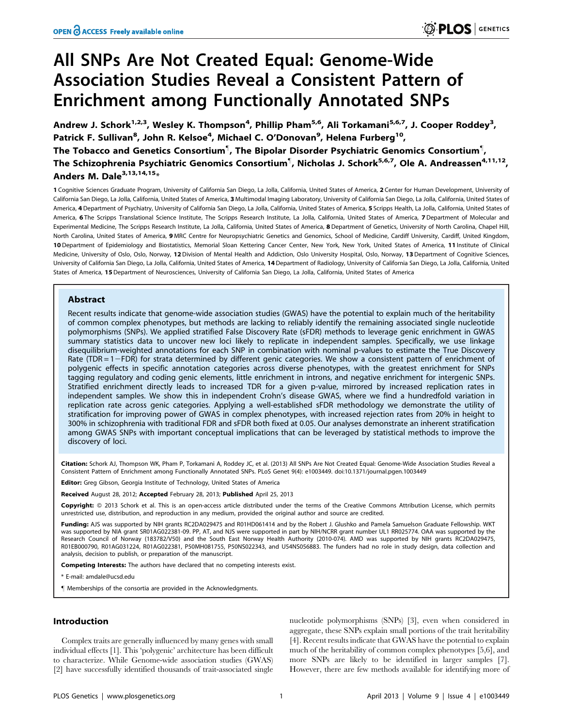# All SNPs Are Not Created Equal: Genome-Wide Association Studies Reveal a Consistent Pattern of Enrichment among Functionally Annotated SNPs

Andrew J. Schork<sup>1,2,3</sup>, Wesley K. Thompson<sup>4</sup>, Phillip Pham<sup>5,6</sup>, Ali Torkamani<sup>5,6,7</sup>, J. Cooper Roddey<sup>3</sup>, Patrick F. Sullivan<sup>8</sup>, John R. Kelsoe<sup>4</sup>, Michael C. O'Donovan<sup>9</sup>, Helena Furberg<sup>10</sup>, The Tobacco and Genetics Consortium $^\P$ , The Bipolar Disorder Psychiatric Genomics Consortium $^\P$ , The Schizophrenia Psychiatric Genomics Consortium<sup>¶</sup>, Nicholas J. Schork<sup>5,6,7</sup>, Ole A. Andreassen<sup>4,11,12</sup>, Anders M. Dale $3,13,14,15*$ 

1 Cognitive Sciences Graduate Program, University of California San Diego, La Jolla, California, United States of America, 2 Center for Human Development, University of California San Diego, La Jolla, California, United States of America, 3 Multimodal Imaging Laboratory, University of California San Diego, La Jolla, California, United States of America, 4 Department of Psychiatry, University of California San Diego, La Jolla, California, United States of America, 5 Scripps Health, La Jolla, California, United States of America, 6 The Scripps Translational Science Institute, The Scripps Research Institute, La Jolla, California, United States of America, 7 Department of Molecular and Experimental Medicine, The Scripps Research Institute, La Jolla, California, United States of America, 8 Department of Genetics, University of North Carolina, Chapel Hill, North Carolina, United States of America, 9 MRC Centre for Neuropsychiatric Genetics and Genomics, School of Medicine, Cardiff University, Cardiff, United Kingdom, 10 Department of Epidemiology and Biostatistics, Memorial Sloan Kettering Cancer Center, New York, New York, United States of America, 11 Institute of Clinical Medicine, University of Oslo, Oslo, Norway, 12 Division of Mental Health and Addiction, Oslo University Hospital, Oslo, Norway, 13 Department of Cognitive Sciences, University of California San Diego, La Jolla, California, United States of America, 14Department of Radiology, University of California San Diego, La Jolla, California, United States of America, 15 Department of Neurosciences, University of California San Diego, La Jolla, California, United States of America

# Abstract

Recent results indicate that genome-wide association studies (GWAS) have the potential to explain much of the heritability of common complex phenotypes, but methods are lacking to reliably identify the remaining associated single nucleotide polymorphisms (SNPs). We applied stratified False Discovery Rate (sFDR) methods to leverage genic enrichment in GWAS summary statistics data to uncover new loci likely to replicate in independent samples. Specifically, we use linkage disequilibrium-weighted annotations for each SNP in combination with nominal p-values to estimate the True Discovery Rate (TDR = 1-FDR) for strata determined by different genic categories. We show a consistent pattern of enrichment of polygenic effects in specific annotation categories across diverse phenotypes, with the greatest enrichment for SNPs tagging regulatory and coding genic elements, little enrichment in introns, and negative enrichment for intergenic SNPs. Stratified enrichment directly leads to increased TDR for a given p-value, mirrored by increased replication rates in independent samples. We show this in independent Crohn's disease GWAS, where we find a hundredfold variation in replication rate across genic categories. Applying a well-established sFDR methodology we demonstrate the utility of stratification for improving power of GWAS in complex phenotypes, with increased rejection rates from 20% in height to 300% in schizophrenia with traditional FDR and sFDR both fixed at 0.05. Our analyses demonstrate an inherent stratification among GWAS SNPs with important conceptual implications that can be leveraged by statistical methods to improve the discovery of loci.

Citation: Schork AJ, Thompson WK, Pham P, Torkamani A, Roddey JC, et al. (2013) All SNPs Are Not Created Equal: Genome-Wide Association Studies Reveal a Consistent Pattern of Enrichment among Functionally Annotated SNPs. PLoS Genet 9(4): e1003449. doi:10.1371/journal.pgen.1003449

Editor: Greg Gibson, Georgia Institute of Technology, United States of America

Received August 28, 2012; Accepted February 28, 2013; Published April 25, 2013

**Copyright:** © 2013 Schork et al. This is an open-access article distributed under the terms of the Creative Commons Attribution License, which permits unrestricted use, distribution, and reproduction in any medium, provided the original author and source are credited.

Funding: AJS was supported by NIH grants RC2DA029475 and R01HD061414 and by the Robert J. Glushko and Pamela Samuelson Graduate Fellowship. WKT was supported by NIA grant SR01AG022381-09. PP, AT, and NJS were supported in part by NIH/NCRR grant number UL1 RR025774. OAA was supported by the Research Council of Norway (183782/V50) and the South East Norway Health Authority (2010-074). AMD was supported by NIH grants RC2DA029475, R01EB000790, R01AG031224, R01AG022381, P50MH081755, P50NS022343, and U54NS056883. The funders had no role in study design, data collection and analysis, decision to publish, or preparation of the manuscript.

Competing Interests: The authors have declared that no competing interests exist.

\* E-mail: amdale@ucsd.edu

" Memberships of the consortia are provided in the Acknowledgments.

# Introduction

Complex traits are generally influenced by many genes with small individual effects [1]. This 'polygenic' architecture has been difficult to characterize. While Genome-wide association studies (GWAS) [2] have successfully identified thousands of trait-associated single

nucleotide polymorphisms (SNPs) [3], even when considered in aggregate, these SNPs explain small portions of the trait heritability [4]. Recent results indicate that GWAS have the potential to explain much of the heritability of common complex phenotypes [5,6], and more SNPs are likely to be identified in larger samples [7]. However, there are few methods available for identifying more of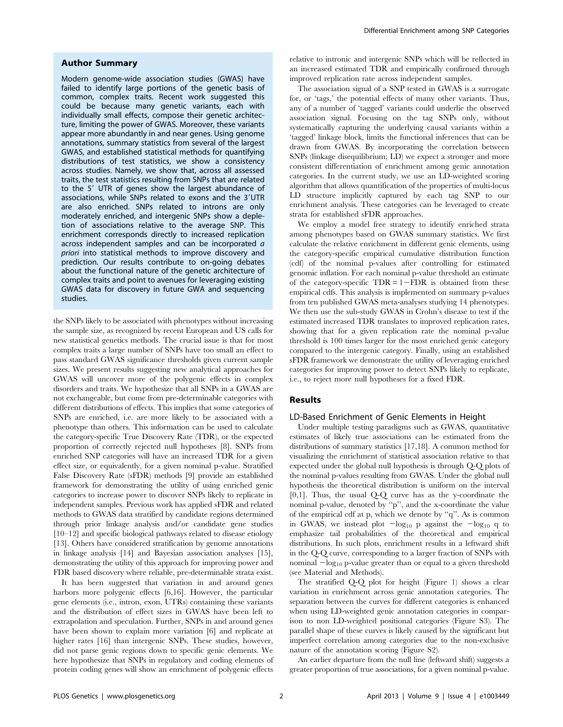## Author Summary

Modern genome-wide association studies (GWAS) have failed to identify large portions of the genetic basis of common, complex traits. Recent work suggested this could be because many genetic variants, each with individually small effects, compose their genetic architecture, limiting the power of GWAS. Moreover, these variants appear more abundantly in and near genes. Using genome annotations, summary statistics from several of the largest GWAS, and established statistical methods for quantifying distributions of test statistics, we show a consistency across studies. Namely, we show that, across all assessed traits, the test statistics resulting from SNPs that are related to the 5' UTR of genes show the largest abundance of associations, while SNPs related to exons and the 3'UTR are also enriched. SNPs related to introns are only moderately enriched, and intergenic SNPs show a depletion of associations relative to the average SNP. This enrichment corresponds directly to increased replication across independent samples and can be incorporated a priori into statistical methods to improve discovery and prediction. Our results contribute to on-going debates about the functional nature of the genetic architecture of complex traits and point to avenues for leveraging existing GWAS data for discovery in future GWA and sequencing studies.

the SNPs likely to be associated with phenotypes without increasing the sample size, as recognized by recent European and US calls for new statistical genetics methods. The crucial issue is that for most complex traits a large number of SNPs have too small an effect to pass standard GWAS significance thresholds given current sample sizes. We present results suggesting new analytical approaches for GWAS will uncover more of the polygenic effects in complex disorders and traits. We hypothesize that all SNPs in a GWAS are not exchangeable, but come from pre-determinable categories with different distributions of effects. This implies that some categories of SNPs are enriched, i.e. are more likely to be associated with a phenotype than others. This information can be used to calculate the category-specific True Discovery Rate (TDR), or the expected proportion of correctly rejected null hypotheses [8]. SNPs from enriched SNP categories will have an increased TDR for a given effect size, or equivalently, for a given nominal p-value. Stratified False Discovery Rate (sFDR) methods [9] provide an established framework for demonstrating the utility of using enriched genic categories to increase power to discover SNPs likely to replicate in independent samples. Previous work has applied sFDR and related methods to GWAS data stratified by candidate regions determined through prior linkage analysis and/or candidate gene studies [10–12] and specific biological pathways related to disease etiology [13]. Others have considered stratification by genome annotations in linkage analysis [14] and Bayesian association analyses [15], demonstrating the utility of this approach for improving power and FDR based discovery where reliable, pre-determinable strata exist.

It has been suggested that variation in and around genes harbors more polygenic effects [6,16]. However, the particular gene elements (i.e., intron, exon, UTRs) containing these variants and the distribution of effect sizes in GWAS have been left to extrapolation and speculation. Further, SNPs in and around genes have been shown to explain more variation [6] and replicate at higher rates [16] than intergenic SNPs. These studies, however, did not parse genic regions down to specific genic elements. We here hypothesize that SNPs in regulatory and coding elements of protein coding genes will show an enrichment of polygenic effects relative to intronic and intergenic SNPs which will be reflected in an increased estimated TDR and empirically confirmed through improved replication rate across independent samples.

The association signal of a SNP tested in GWAS is a surrogate for, or 'tags,' the potential effects of many other variants. Thus, any of a number of 'tagged' variants could underlie the observed association signal. Focusing on the tag SNPs only, without systematically capturing the underlying causal variants within a 'tagged' linkage block, limits the functional inferences that can be drawn from GWAS. By incorporating the correlation between SNPs (linkage disequilibrium; LD) we expect a stronger and more consistent differentiation of enrichment among genic annotation categories. In the current study, we use an LD-weighted scoring algorithm that allows quantification of the properties of multi-locus LD structure implicitly captured by each tag SNP to our enrichment analysis. These categories can be leveraged to create strata for established sFDR approaches.

We employ a model free strategy to identify enriched strata among phenotypes based on GWAS summary statistics. We first calculate the relative enrichment in different genic elements, using the category-specific empirical cumulative distribution function (cdf) of the nominal p-values after controlling for estimated genomic inflation. For each nominal p-value threshold an estimate of the category-specific  $TDR = 1 - FDR$  is obtained from these empirical cdfs. This analysis is implemented on summary p-values from ten published GWAS meta-analyses studying 14 phenotypes. We then use the sub-study GWAS in Crohn's disease to test if the estimated increased TDR translates to improved replication rates, showing that for a given replication rate the nominal p-value threshold is 100 times larger for the most enriched genic category compared to the intergenic category. Finally, using an established sFDR framework we demonstrate the utility of leveraging enriched categories for improving power to detect SNPs likely to replicate, i.e., to reject more null hypotheses for a fixed FDR.

## Results

## LD-Based Enrichment of Genic Elements in Height

Under multiple testing paradigms such as GWAS, quantitative estimates of likely true associations can be estimated from the distributions of summary statistics [17,18]. A common method for visualizing the enrichment of statistical association relative to that expected under the global null hypothesis is through Q-Q plots of the nominal p-values resulting from GWAS. Under the global null hypothesis the theoretical distribution is uniform on the interval [0,1]. Thus, the usual Q-Q curve has as the y-coordinate the nominal p-value, denoted by ''p'', and the x-coordinate the value of the empirical cdf at p, which we denote by ''q''. As is common in GWAS, we instead plot  $-\log_{10} p$  against the  $-\log_{10} q$  to emphasize tail probabilities of the theoretical and empirical distributions. In such plots, enrichment results in a leftward shift in the Q-Q curve, corresponding to a larger fraction of SNPs with nominal  $-\log_{10}$  p-value greater than or equal to a given threshold (see Material and Methods).

The stratified Q-Q plot for height (Figure 1) shows a clear variation in enrichment across genic annotation categories. The separation between the curves for different categories is enhanced when using LD-weighted genic annotation categories in comparison to non LD-weighted positional categories (Figure S3). The parallel shape of these curves is likely caused by the significant but imperfect correlation among categories due to the non-exclusive nature of the annotation scoring (Figure S2).

An earlier departure from the null line (leftward shift) suggests a greater proportion of true associations, for a given nominal p-value.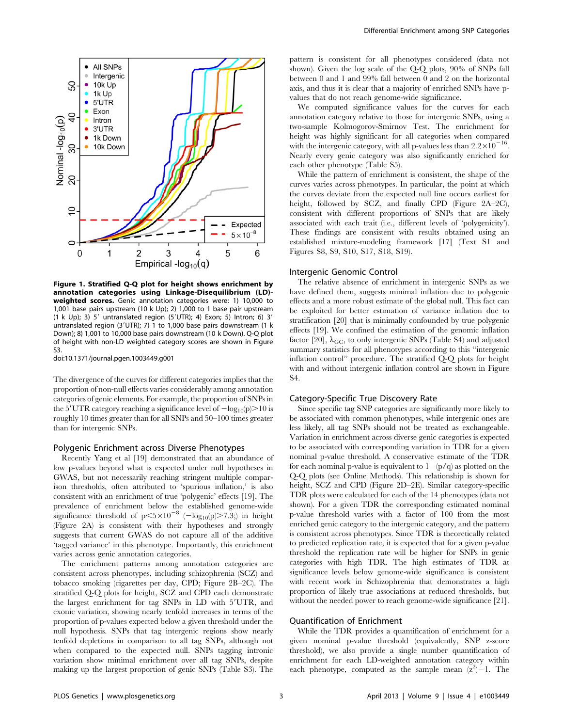

Figure 1. Stratified Q-Q plot for height shows enrichment by annotation categories using Linkage-Disequilibrium (LD) weighted scores. Genic annotation categories were: 1) 10,000 to 1,001 base pairs upstream (10 k Up); 2) 1,000 to 1 base pair upstream  $(1 \text{ k Up})$ ; 3) 5' untranslated region  $(5'UTR)$ ; 4) Exon; 5) Intron; 6) 3' untranslated region (3'UTR); 7) 1 to 1,000 base pairs downstream (1 k Down); 8) 1,001 to 10,000 base pairs downstream (10 k Down). Q-Q plot of height with non-LD weighted category scores are shown in Figure S3.

doi:10.1371/journal.pgen.1003449.g001

The divergence of the curves for different categories implies that the proportion of non-null effects varies considerably among annotation categories of genic elements. For example, the proportion of SNPs in the 5'UTR category reaching a significance level of  $-\log_{10}(p)$ . roughly 10 times greater than for all SNPs and 50–100 times greater than for intergenic SNPs.

## Polygenic Enrichment across Diverse Phenotypes

Recently Yang et al [19] demonstrated that an abundance of low p-values beyond what is expected under null hypotheses in GWAS, but not necessarily reaching stringent multiple comparison thresholds, often attributed to 'spurious inflation,' is also consistent with an enrichment of true 'polygenic' effects [19]. The prevalence of enrichment below the established genome-wide significance threshold of  $p < 5 \times 10^{-8}$  ( $-\log_{10}(p) > 7.3$ ;) in height (Figure 2A) is consistent with their hypotheses and strongly suggests that current GWAS do not capture all of the additive 'tagged variance' in this phenotype. Importantly, this enrichment varies across genic annotation categories.

The enrichment patterns among annotation categories are consistent across phenotypes, including schizophrenia (SCZ) and tobacco smoking (cigarettes per day, CPD; Figure 2B–2C). The stratified Q-Q plots for height, SCZ and CPD each demonstrate the largest enrichment for tag SNPs in LD with 5'UTR, and exonic variation, showing nearly tenfold increases in terms of the proportion of p-values expected below a given threshold under the null hypothesis. SNPs that tag intergenic regions show nearly tenfold depletions in comparison to all tag SNPs, although not when compared to the expected null. SNPs tagging intronic variation show minimal enrichment over all tag SNPs, despite making up the largest proportion of genic SNPs (Table S3). The pattern is consistent for all phenotypes considered (data not shown). Given the log scale of the Q-Q plots, 90% of SNPs fall between 0 and 1 and 99% fall between 0 and 2 on the horizontal axis, and thus it is clear that a majority of enriched SNPs have pvalues that do not reach genome-wide significance.

We computed significance values for the curves for each annotation category relative to those for intergenic SNPs, using a two-sample Kolmogorov-Smirnov Test. The enrichment for height was highly significant for all categories when compared with the intergenic category, with all p-values less than  $2.2 \times 10^{-16}$ . Nearly every genic category was also significantly enriched for each other phenotype (Table S5).

While the pattern of enrichment is consistent, the shape of the curves varies across phenotypes. In particular, the point at which the curves deviate from the expected null line occurs earliest for height, followed by SCZ, and finally CPD (Figure 2A–2C), consistent with different proportions of SNPs that are likely associated with each trait (i.e., different levels of 'polygenicity'). These findings are consistent with results obtained using an established mixture-modeling framework [17] (Text S1 and Figures S8, S9, S10, S17, S18, S19).

## Intergenic Genomic Control

The relative absence of enrichment in intergenic SNPs as we have defined them, suggests minimal inflation due to polygenic effects and a more robust estimate of the global null. This fact can be exploited for better estimation of variance inflation due to stratification [20] that is minimally confounded by true polygenic effects [19]. We confined the estimation of the genomic inflation factor [20],  $\lambda$ <sub>GC</sub>, to only intergenic SNPs (Table S4) and adjusted summary statistics for all phenotypes according to this ''intergenic inflation control'' procedure. The stratified Q-Q plots for height with and without intergenic inflation control are shown in Figure S4.

#### Category-Specific True Discovery Rate

Since specific tag SNP categories are significantly more likely to be associated with common phenotypes, while intergenic ones are less likely, all tag SNPs should not be treated as exchangeable. Variation in enrichment across diverse genic categories is expected to be associated with corresponding variation in TDR for a given nominal p-value threshold. A conservative estimate of the TDR for each nominal p-value is equivalent to  $1-(p/q)$  as plotted on the Q-Q plots (see Online Methods). This relationship is shown for height, SCZ and CPD (Figure 2D–2E). Similar category-specific TDR plots were calculated for each of the 14 phenotypes (data not shown). For a given TDR the corresponding estimated nominal p-value threshold varies with a factor of 100 from the most enriched genic category to the intergenic category, and the pattern is consistent across phenotypes. Since TDR is theoretically related to predicted replication rate, it is expected that for a given p-value threshold the replication rate will be higher for SNPs in genic categories with high TDR. The high estimates of TDR at significance levels below genome-wide significance is consistent with recent work in Schizophrenia that demonstrates a high proportion of likely true associations at reduced thresholds, but without the needed power to reach genome-wide significance [21].

## Quantification of Enrichment

While the TDR provides a quantification of enrichment for a given nominal p-value threshold (equivalently, SNP z-score threshold), we also provide a single number quantification of enrichment for each LD-weighted annotation category within each phenotype, computed as the sample mean  $(z^2)$ –1. The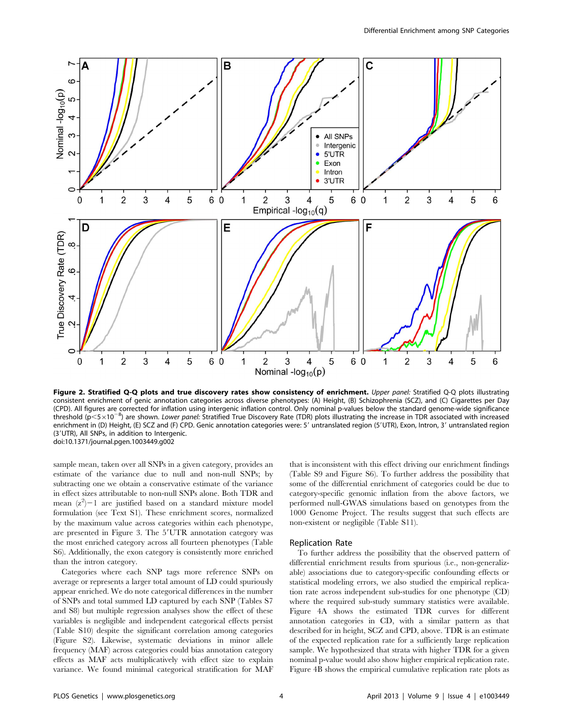

Figure 2. Stratified Q-Q plots and true discovery rates show consistency of enrichment. Upper panel: Stratified Q-Q plots illustrating consistent enrichment of genic annotation categories across diverse phenotypes: (A) Height, (B) Schizophrenia (SCZ), and (C) Cigarettes per Day (CPD). All figures are corrected for inflation using intergenic inflation control. Only nominal p-values below the standard genome-wide significance threshold (p<5×10<sup>-8</sup>) are shown. Lower panel: Stratified True Discovery Rate (TDR) plots illustrating the increase in TDR associated with increased enrichment in (D) Height, (E) SCZ and (F) CPD. Genic annotation categories were: 5' untranslated region (5'UTR), Exon, Intron, 3' untranslated region (3'UTR), All SNPs, in addition to Intergenic. doi:10.1371/journal.pgen.1003449.g002

sample mean, taken over all SNPs in a given category, provides an estimate of the variance due to null and non-null SNPs; by subtracting one we obtain a conservative estimate of the variance in effect sizes attributable to non-null SNPs alone. Both TDR and mean  $(z^2)$  – 1 are justified based on a standard mixture model formulation (see Text S1). These enrichment scores, normalized by the maximum value across categories within each phenotype, are presented in Figure 3. The 5'UTR annotation category was the most enriched category across all fourteen phenotypes (Table S6). Additionally, the exon category is consistently more enriched than the intron category.

Categories where each SNP tags more reference SNPs on average or represents a larger total amount of LD could spuriously appear enriched. We do note categorical differences in the number of SNPs and total summed LD captured by each SNP (Tables S7 and S8) but multiple regression analyses show the effect of these variables is negligible and independent categorical effects persist (Table S10) despite the significant correlation among categories (Figure S2). Likewise, systematic deviations in minor allele frequency (MAF) across categories could bias annotation category effects as MAF acts multiplicatively with effect size to explain variance. We found minimal categorical stratification for MAF that is inconsistent with this effect driving our enrichment findings (Table S9 and Figure S6). To further address the possibility that some of the differential enrichment of categories could be due to category-specific genomic inflation from the above factors, we performed null-GWAS simulations based on genotypes from the 1000 Genome Project. The results suggest that such effects are non-existent or negligible (Table S11).

#### Replication Rate

To further address the possibility that the observed pattern of differential enrichment results from spurious (i.e., non-generalizable) associations due to category-specific confounding effects or statistical modeling errors, we also studied the empirical replication rate across independent sub-studies for one phenotype (CD) where the required sub-study summary statistics were available. Figure 4A shows the estimated TDR curves for different annotation categories in CD, with a similar pattern as that described for in height, SCZ and CPD, above. TDR is an estimate of the expected replication rate for a sufficiently large replication sample. We hypothesized that strata with higher TDR for a given nominal p-value would also show higher empirical replication rate. Figure 4B shows the empirical cumulative replication rate plots as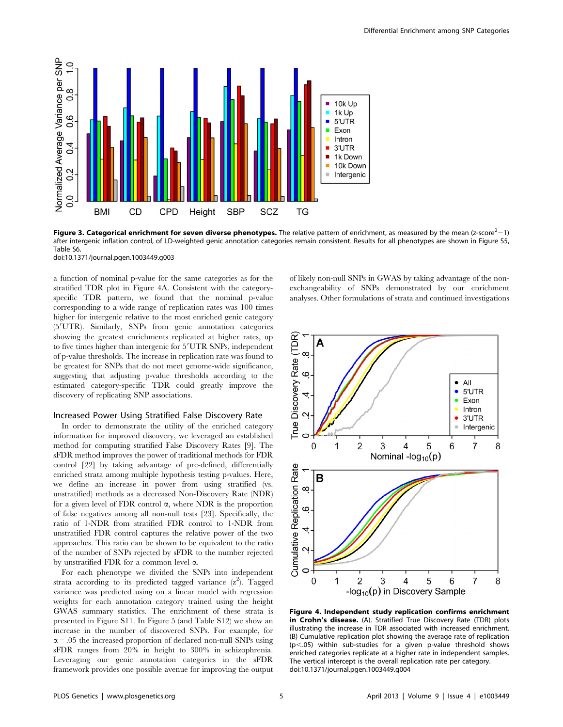

Figure 3. Categorical enrichment for seven diverse phenotypes. The relative pattern of enrichment, as measured by the mean (z-score<sup>2</sup> $-1$ ) after intergenic inflation control, of LD-weighted genic annotation categories remain consistent. Results for all phenotypes are shown in Figure S5, Table S6.

doi:10.1371/journal.pgen.1003449.g003

a function of nominal p-value for the same categories as for the stratified TDR plot in Figure 4A. Consistent with the categoryspecific TDR pattern, we found that the nominal p-value corresponding to a wide range of replication rates was 100 times higher for intergenic relative to the most enriched genic category (5'UTR). Similarly, SNPs from genic annotation categories showing the greatest enrichments replicated at higher rates, up to five times higher than intergenic for 5'UTR SNPs, independent of p-value thresholds. The increase in replication rate was found to be greatest for SNPs that do not meet genome-wide significance, suggesting that adjusting p-value thresholds according to the estimated category-specific TDR could greatly improve the discovery of replicating SNP associations.

## Increased Power Using Stratified False Discovery Rate

In order to demonstrate the utility of the enriched category information for improved discovery, we leveraged an established method for computing stratified False Discovery Rates [9]. The sFDR method improves the power of traditional methods for FDR control [22] by taking advantage of pre-defined, differentially enriched strata among multiple hypothesis testing p-values. Here, we define an increase in power from using stratified (vs. unstratified) methods as a decreased Non-Discovery Rate (NDR) for a given level of FDR control  $\alpha$ , where NDR is the proportion of false negatives among all non-null tests [23]. Specifically, the ratio of 1-NDR from stratified FDR control to 1-NDR from unstratified FDR control captures the relative power of the two approaches. This ratio can be shown to be equivalent to the ratio of the number of SNPs rejected by sFDR to the number rejected by unstratified FDR for a common level  $\alpha$ .

For each phenotype we divided the SNPs into independent strata according to its predicted tagged variance  $(z^2)$ . Tagged variance was predicted using on a linear model with regression weights for each annotation category trained using the height GWAS summary statistics. The enrichment of these strata is presented in Figure S11. In Figure 5 (and Table S12) we show an increase in the number of discovered SNPs. For example, for  $\alpha$  = .05 the increased proportion of declared non-null SNPs using sFDR ranges from 20% in height to 300% in schizophrenia. Leveraging our genic annotation categories in the sFDR framework provides one possible avenue for improving the output of likely non-null SNPs in GWAS by taking advantage of the nonexchangeability of SNPs demonstrated by our enrichment analyses. Other formulations of strata and continued investigations



Figure 4. Independent study replication confirms enrichment in Crohn's disease. (A). Stratified True Discovery Rate (TDR) plots illustrating the increase in TDR associated with increased enrichment. (B) Cumulative replication plot showing the average rate of replication  $(p<.05)$  within sub-studies for a given p-value threshold shows enriched categories replicate at a higher rate in independent samples. The vertical intercept is the overall replication rate per category. doi:10.1371/journal.pgen.1003449.g004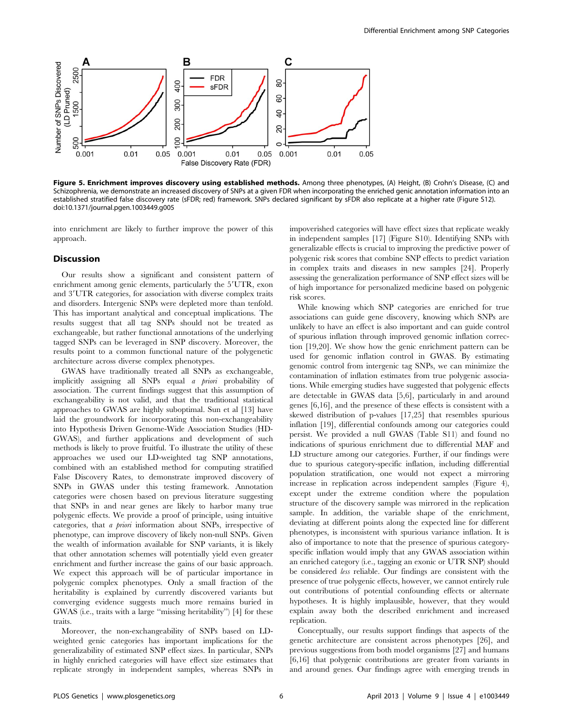

Figure 5. Enrichment improves discovery using established methods. Among three phenotypes, (A) Height, (B) Crohn's Disease, (C) and Schizophrenia, we demonstrate an increased discovery of SNPs at a given FDR when incorporating the enriched genic annotation information into an established stratified false discovery rate (sFDR; red) framework. SNPs declared significant by sFDR also replicate at a higher rate (Figure S12). doi:10.1371/journal.pgen.1003449.g005

into enrichment are likely to further improve the power of this approach.

## Discussion

Our results show a significant and consistent pattern of enrichment among genic elements, particularly the 5'UTR, exon and 3'UTR categories, for association with diverse complex traits and disorders. Intergenic SNPs were depleted more than tenfold. This has important analytical and conceptual implications. The results suggest that all tag SNPs should not be treated as exchangeable, but rather functional annotations of the underlying tagged SNPs can be leveraged in SNP discovery. Moreover, the results point to a common functional nature of the polygenetic architecture across diverse complex phenotypes.

GWAS have traditionally treated all SNPs as exchangeable, implicitly assigning all SNPs equal a priori probability of association. The current findings suggest that this assumption of exchangeability is not valid, and that the traditional statistical approaches to GWAS are highly suboptimal. Sun et al [13] have laid the groundwork for incorporating this non-exchangeability into Hypothesis Driven Genome-Wide Association Studies (HD-GWAS), and further applications and development of such methods is likely to prove fruitful. To illustrate the utility of these approaches we used our LD-weighted tag SNP annotations, combined with an established method for computing stratified False Discovery Rates, to demonstrate improved discovery of SNPs in GWAS under this testing framework. Annotation categories were chosen based on previous literature suggesting that SNPs in and near genes are likely to harbor many true polygenic effects. We provide a proof of principle, using intuitive categories, that a priori information about SNPs, irrespective of phenotype, can improve discovery of likely non-null SNPs. Given the wealth of information available for SNP variants, it is likely that other annotation schemes will potentially yield even greater enrichment and further increase the gains of our basic approach. We expect this approach will be of particular importance in polygenic complex phenotypes. Only a small fraction of the heritability is explained by currently discovered variants but converging evidence suggests much more remains buried in GWAS (i.e., traits with a large ''missing heritability'') [4] for these traits.

Moreover, the non-exchangeability of SNPs based on LDweighted genic categories has important implications for the generalizability of estimated SNP effect sizes. In particular, SNPs in highly enriched categories will have effect size estimates that replicate strongly in independent samples, whereas SNPs in impoverished categories will have effect sizes that replicate weakly in independent samples [17] (Figure S10). Identifying SNPs with generalizable effects is crucial to improving the predictive power of polygenic risk scores that combine SNP effects to predict variation in complex traits and diseases in new samples [24]. Properly assessing the generalization performance of SNP effect sizes will be of high importance for personalized medicine based on polygenic risk scores.

While knowing which SNP categories are enriched for true associations can guide gene discovery, knowing which SNPs are unlikely to have an effect is also important and can guide control of spurious inflation through improved genomic inflation correction [19,20]. We show how the genic enrichment pattern can be used for genomic inflation control in GWAS. By estimating genomic control from intergenic tag SNPs, we can minimize the contamination of inflation estimates from true polygenic associations. While emerging studies have suggested that polygenic effects are detectable in GWAS data [5,6], particularly in and around genes [6,16], and the presence of these effects is consistent with a skewed distribution of p-values [17,25] that resembles spurious inflation [19], differential confounds among our categories could persist. We provided a null GWAS (Table S11) and found no indications of spurious enrichment due to differential MAF and LD structure among our categories. Further, if our findings were due to spurious category-specific inflation, including differential population stratification, one would not expect a mirroring increase in replication across independent samples (Figure 4), except under the extreme condition where the population structure of the discovery sample was mirrored in the replication sample. In addition, the variable shape of the enrichment, deviating at different points along the expected line for different phenotypes, is inconsistent with spurious variance inflation. It is also of importance to note that the presence of spurious categoryspecific inflation would imply that any GWAS association within an enriched category (i.e., tagging an exonic or UTR SNP) should be considered less reliable. Our findings are consistent with the presence of true polygenic effects, however, we cannot entirely rule out contributions of potential confounding effects or alternate hypotheses. It is highly implausible, however, that they would explain away both the described enrichment and increased replication.

Conceptually, our results support findings that aspects of the genetic architecture are consistent across phenotypes [26], and previous suggestions from both model organisms [27] and humans [6,16] that polygenic contributions are greater from variants in and around genes. Our findings agree with emerging trends in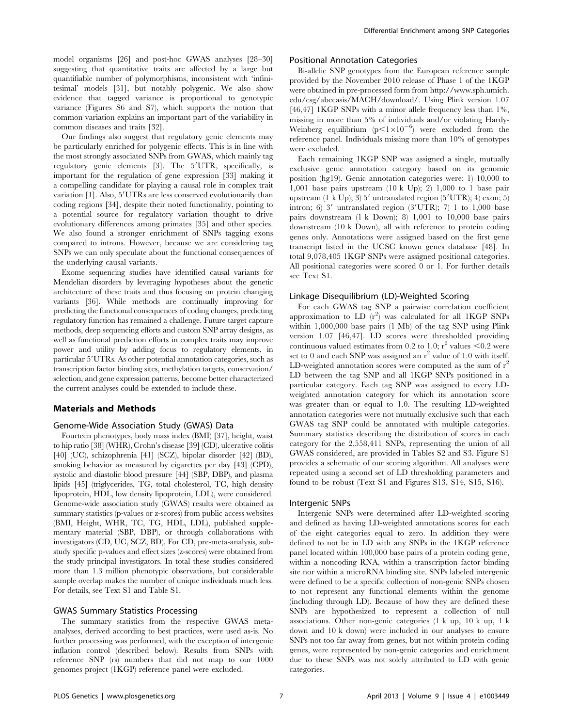model organisms [26] and post-hoc GWAS analyses [28–30] suggesting that quantitative traits are affected by a large but quantifiable number of polymorphisms, inconsistent with 'infinitesimal' models [31], but notably polygenic. We also show evidence that tagged variance is proportional to genotypic variance (Figures S6 and S7), which supports the notion that common variation explains an important part of the variability in common diseases and traits [32].

Our findings also suggest that regulatory genic elements may be particularly enriched for polygenic effects. This is in line with the most strongly associated SNPs from GWAS, which mainly tag regulatory genic elements [3]. The 5'UTR, specifically, is important for the regulation of gene expression [33] making it a compelling candidate for playing a causal role in complex trait variation [1]. Also, 5'UTRs are less conserved evolutionarily than coding regions [34], despite their noted functionality, pointing to a potential source for regulatory variation thought to drive evolutionary differences among primates [35] and other species. We also found a stronger enrichment of SNPs tagging exons compared to introns. However, because we are considering tag SNPs we can only speculate about the functional consequences of the underlying causal variants.

Exome sequencing studies have identified causal variants for Mendelian disorders by leveraging hypotheses about the genetic architecture of these traits and thus focusing on protein changing variants [36]. While methods are continually improving for predicting the functional consequences of coding changes, predicting regulatory function has remained a challenge. Future target capture methods, deep sequencing efforts and custom SNP array designs, as well as functional prediction efforts in complex traits may improve power and utility by adding focus to regulatory elements, in particular 5'UTRs. As other potential annotation categories, such as transcription factor binding sites, methylation targets, conservation/ selection, and gene expression patterns, become better characterized the current analyses could be extended to include these.

#### Materials and Methods

#### Genome-Wide Association Study (GWAS) Data

Fourteen phenotypes, body mass index (BMI) [37], height, waist to hip ratio [38] (WHR), Crohn's disease [39] (CD), ulcerative colitis [40] (UC), schizophrenia [41] (SCZ), bipolar disorder [42] (BD), smoking behavior as measured by cigarettes per day [43] (CPD), systolic and diastolic blood pressure [44] (SBP, DBP), and plasma lipids [45] (triglycerides, TG, total cholesterol, TC, high density lipoprotein, HDL, low density lipoprotein, LDL), were considered. Genome-wide association study (GWAS) results were obtained as summary statistics (p-values or z-scores) from public access websites (BMI, Height, WHR, TC, TG, HDL, LDL), published supplementary material (SBP, DBP), or through collaborations with investigators (CD, UC, SCZ, BD). For CD, pre-meta-analysis, substudy specific p-values and effect sizes (z-scores) were obtained from the study principal investigators. In total these studies considered more than 1.3 million phenotypic observations, but considerable sample overlap makes the number of unique individuals much less. For details, see Text S1 and Table S1.

## GWAS Summary Statistics Processing

The summary statistics from the respective GWAS metaanalyses, derived according to best practices, were used as-is. No further processing was performed, with the exception of intergenic inflation control (described below). Results from SNPs with reference SNP (rs) numbers that did not map to our 1000 genomes project (1KGP) reference panel were excluded.

## Positional Annotation Categories

Bi-allelic SNP genotypes from the European reference sample provided by the November 2010 release of Phase 1 of the 1KGP were obtained in pre-processed form from http://www.sph.umich. edu/csg/abecasis/MACH/download/. Using Plink version 1.07 [46,47] 1KGP SNPs with a minor allele frequency less than 1%, missing in more than 5% of individuals and/or violating Hardy-Weinberg equilibrium  $(p<1\times10^{-6})$  were excluded from the reference panel. Individuals missing more than 10% of genotypes were excluded.

Each remaining 1KGP SNP was assigned a single, mutually exclusive genic annotation category based on its genomic position (hg19). Genic annotation categories were: 1) 10,000 to 1,001 base pairs upstream  $(10 \text{ k Up})$ ; 2) 1,000 to 1 base pair upstream (1 k Up); 3)  $5'$  untranslated region ( $5'UTR$ ); 4) exon; 5) intron; 6) 3' untranslated region  $(3'UTR)$ ; 7) 1 to 1,000 base pairs downstream (1 k Down); 8) 1,001 to 10,000 base pairs downstream (10 k Down), all with reference to protein coding genes only. Annotations were assigned based on the first gene transcript listed in the UCSC known genes database [48]. In total 9,078,405 1KGP SNPs were assigned positional categories. All positional categories were scored 0 or 1. For further details see Text S1.

## Linkage Disequilibrium (LD)-Weighted Scoring

For each GWAS tag SNP a pairwise correlation coefficient approximation to  $LD(r^2)$  was calculated for all 1KGP SNPs within 1,000,000 base pairs (1 Mb) of the tag SNP using Plink version 1.07 [46,47]. LD scores were thresholded providing continuous valued estimates from 0.2 to 1.0;  $r^2$  values <0.2 were set to 0 and each SNP was assigned an  $r^2$  value of 1.0 with itself. LD-weighted annotation scores were computed as the sum of  $r^2$ LD between the tag SNP and all 1KGP SNPs positioned in a particular category. Each tag SNP was assigned to every LDweighted annotation category for which its annotation score was greater than or equal to 1.0. The resulting LD-weighted annotation categories were not mutually exclusive such that each GWAS tag SNP could be annotated with multiple categories. Summary statistics describing the distribution of scores in each category for the 2,558,411 SNPs, representing the union of all GWAS considered, are provided in Tables S2 and S3. Figure S1 provides a schematic of our scoring algorithm. All analyses were repeated using a second set of LD thresholding parameters and found to be robust (Text S1 and Figures S13, S14, S15, S16).

#### Intergenic SNPs

Intergenic SNPs were determined after LD-weighted scoring and defined as having LD-weighted annotations scores for each of the eight categories equal to zero. In addition they were defined to not be in LD with any SNPs in the 1KGP reference panel located within 100,000 base pairs of a protein coding gene, within a noncoding RNA, within a transcription factor binding site nor within a microRNA binding site. SNPs labeled intergenic were defined to be a specific collection of non-genic SNPs chosen to not represent any functional elements within the genome (including through LD). Because of how they are defined these SNPs are hypothesized to represent a collection of null associations. Other non-genic categories (1 k up, 10 k up, 1 k down and 10 k down) were included in our analyses to ensure SNPs not too far away from genes, but not within protein coding genes, were represented by non-genic categories and enrichment due to these SNPs was not solely attributed to LD with genic categories.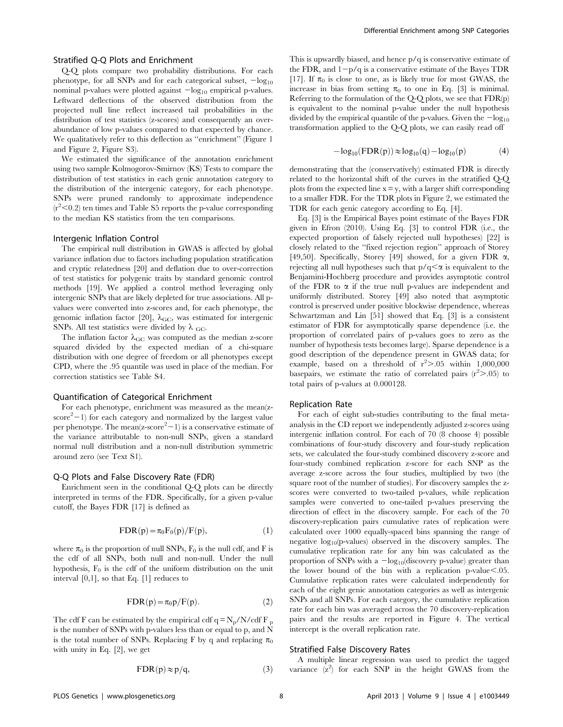## Stratified Q-Q Plots and Enrichment

Q-Q plots compare two probability distributions. For each phenotype, for all SNPs and for each categorical subset,  $-\log_{10}$ nominal p-values were plotted against  $-\log_{10}$  empirical p-values. Leftward deflections of the observed distribution from the projected null line reflect increased tail probabilities in the distribution of test statistics (z-scores) and consequently an overabundance of low p-values compared to that expected by chance. We qualitatively refer to this deflection as ''enrichment'' (Figure 1 and Figure 2, Figure S3).

We estimated the significance of the annotation enrichment using two sample Kolmogorov-Smirnov (KS) Tests to compare the distribution of test statistics in each genic annotation category to the distribution of the intergenic category, for each phenotype. SNPs were pruned randomly to approximate independence  $(r<sup>2</sup><0.2)$  ten times and Table S5 reports the p-value corresponding to the median KS statistics from the ten comparisons.

## Intergenic Inflation Control

The empirical null distribution in GWAS is affected by global variance inflation due to factors including population stratification and cryptic relatedness [20] and deflation due to over-correction of test statistics for polygenic traits by standard genomic control methods [19]. We applied a control method leveraging only intergenic SNPs that are likely depleted for true associations. All pvalues were converted into z-scores and, for each phenotype, the genomic inflation factor [20],  $\lambda$ <sub>GC</sub>, was estimated for intergenic SNPs. All test statistics were divided by  $\lambda$  GC.

The inflation factor  $\lambda_{\text{GC}}$  was computed as the median z-score squared divided by the expected median of a chi-square distribution with one degree of freedom or all phenotypes except CPD, where the .95 quantile was used in place of the median. For correction statistics see Table S4.

## Quantification of Categorical Enrichment

For each phenotype, enrichment was measured as the mean(z $score<sup>2</sup> - 1$ ) for each category and normalized by the largest value per phenotype. The mean( $z$ -score $^2-1$ ) is a conservative estimate of the variance attributable to non-null SNPs, given a standard normal null distribution and a non-null distribution symmetric around zero (see Text S1).

### Q-Q Plots and False Discovery Rate (FDR)

Enrichment seen in the conditional Q-Q plots can be directly interpreted in terms of the FDR. Specifically, for a given p-value cutoff, the Bayes FDR [17] is defined as

$$
FDR(p) = \pi_0 F_0(p) / F(p), \qquad (1)
$$

where  $\pi_0$  is the proportion of null SNPs,  $F_0$  is the null cdf, and F is the cdf of all SNPs, both null and non-null. Under the null hypothesis,  $F_0$  is the cdf of the uniform distribution on the unit interval  $[0,1]$ , so that Eq.  $[1]$  reduces to

$$
FDR(p) = \pi_0 p / F(p). \tag{2}
$$

The cdf F can be estimated by the empirical cdf  $q = N_p/N/cdf F_p$ is the number of SNPs with p-values less than or equal to p, and N is the total number of SNPs. Replacing F by q and replacing  $\pi_0$ with unity in Eq. [2], we get

This is upwardly biased, and hence p/q is conservative estimate of the FDR, and  $1-p/q$  is a conservative estimate of the Bayes TDR [17]. If  $\pi_0$  is close to one, as is likely true for most GWAS, the increase in bias from setting  $\pi_0$  to one in Eq. [3] is minimal. Referring to the formulation of the Q-Q plots, we see that FDR(p) is equivalent to the nominal p-value under the null hypothesis divided by the empirical quantile of the p-values. Given the  $-\log_{10}$ transformation applied to the Q-Q plots, we can easily read off

$$
-\log_{10}(\text{FDR}(p)) \approx \log_{10}(q) - \log_{10}(p) \tag{4}
$$

demonstrating that the (conservatively) estimated FDR is directly related to the horizontal shift of the curves in the stratified Q-Q plots from the expected line  $x = y$ , with a larger shift corresponding to a smaller FDR. For the TDR plots in Figure 2, we estimated the TDR for each genic category according to Eq. [4].

Eq. [3] is the Empirical Bayes point estimate of the Bayes FDR given in Efron (2010). Using Eq. [3] to control FDR (i.e., the expected proportion of falsely rejected null hypotheses) [22] is closely related to the ''fixed rejection region'' approach of Storey [49,50]. Specifically, Storey [49] showed, for a given FDR  $\alpha$ , rejecting all null hypotheses such that  $p/q \leq \alpha$  is equivalent to the Benjamini-Hochberg procedure and provides asymptotic control of the FDR to  $\alpha$  if the true null p-values are independent and uniformly distributed. Storey [49] also noted that asymptotic control is preserved under positive blockwise dependence, whereas Schwartzman and Lin [51] showed that Eq. [3] is a consistent estimator of FDR for asymptotically sparse dependence (i.e. the proportion of correlated pairs of p-values goes to zero as the number of hypothesis tests becomes large). Sparse dependence is a good description of the dependence present in GWAS data; for example, based on a threshold of  $r^2 > 0.05$  within 1,000,000 basepairs, we estimate the ratio of correlated pairs  $(r^2 > .05)$  to total pairs of p-values at 0.000128.

#### Replication Rate

For each of eight sub-studies contributing to the final metaanalysis in the CD report we independently adjusted z-scores using intergenic inflation control. For each of 70 (8 choose 4) possible combinations of four-study discovery and four-study replication sets, we calculated the four-study combined discovery z-score and four-study combined replication z-score for each SNP as the average z-score across the four studies, multiplied by two (the square root of the number of studies). For discovery samples the zscores were converted to two-tailed p-values, while replication samples were converted to one-tailed p-values preserving the direction of effect in the discovery sample. For each of the 70 discovery-replication pairs cumulative rates of replication were calculated over 1000 equally-spaced bins spanning the range of negative log10(p-values) observed in the discovery samples. The cumulative replication rate for any bin was calculated as the proportion of SNPs with a  $-\log_{10}$ (discovery p-value) greater than the lower bound of the bin with a replication p-value $< .05$ . Cumulative replication rates were calculated independently for each of the eight genic annotation categories as well as intergenic SNPs and all SNPs. For each category, the cumulative replication rate for each bin was averaged across the 70 discovery-replication pairs and the results are reported in Figure 4. The vertical intercept is the overall replication rate.

#### Stratified False Discovery Rates

A multiple linear regression was used to predict the tagged variance  $(z^2)$  for each SNP in the height GWAS from the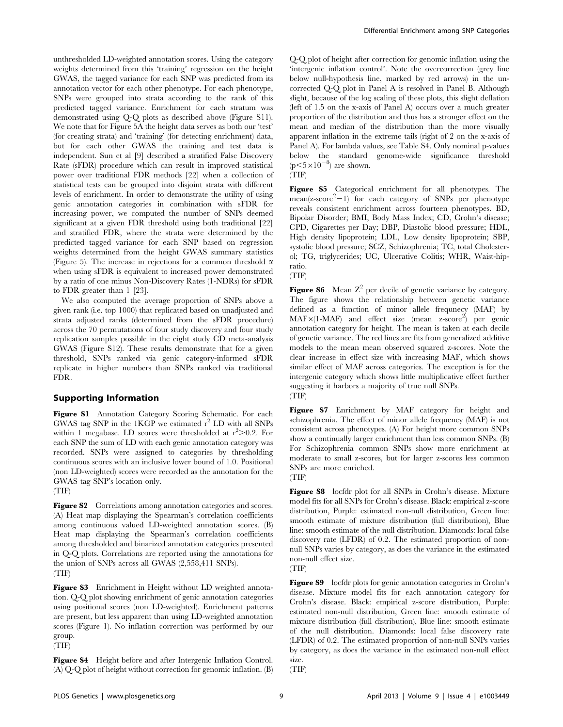unthresholded LD-weighted annotation scores. Using the category weights determined from this 'training' regression on the height GWAS, the tagged variance for each SNP was predicted from its annotation vector for each other phenotype. For each phenotype, SNPs were grouped into strata according to the rank of this predicted tagged variance. Enrichment for each stratum was demonstrated using Q-Q plots as described above (Figure S11). We note that for Figure 5A the height data serves as both our 'test' (for creating strata) and 'training' (for detecting enrichment) data, but for each other GWAS the training and test data is independent. Sun et al [9] described a stratified False Discovery Rate (sFDR) procedure which can result in improved statistical power over traditional FDR methods [22] when a collection of statistical tests can be grouped into disjoint strata with different levels of enrichment. In order to demonstrate the utility of using genic annotation categories in combination with sFDR for increasing power, we computed the number of SNPs deemed significant at a given FDR threshold using both traditional [22] and stratified FDR, where the strata were determined by the predicted tagged variance for each SNP based on regression weights determined from the height GWAS summary statistics (Figure 5). The increase in rejections for a common threshold  $\alpha$ when using sFDR is equivalent to increased power demonstrated by a ratio of one minus Non-Discovery Rates (1-NDRs) for sFDR to FDR greater than 1 [23].

We also computed the average proportion of SNPs above a given rank (i.e. top 1000) that replicated based on unadjusted and strata adjusted ranks (determined from the sFDR procedure) across the 70 permutations of four study discovery and four study replication samples possible in the eight study CD meta-analysis GWAS (Figure S12). These results demonstrate that for a given threshold, SNPs ranked via genic category-informed sFDR replicate in higher numbers than SNPs ranked via traditional FDR.

# Supporting Information

Figure S1 Annotation Category Scoring Schematic. For each GWAS tag SNP in the 1KGP we estimated  $r^2$  LD with all SNPs within 1 megabase. LD scores were thresholded at  $r^2 > 0.2$ . For each SNP the sum of LD with each genic annotation category was recorded. SNPs were assigned to categories by thresholding continuous scores with an inclusive lower bound of 1.0. Positional (non LD-weighted) scores were recorded as the annotation for the GWAS tag SNP's location only.

(TIF)

Figure S2 Correlations among annotation categories and scores. (A) Heat map displaying the Spearman's correlation coefficients among continuous valued LD-weighted annotation scores. (B) Heat map displaying the Spearman's correlation coefficients among thresholded and binarized annotation categories presented in Q-Q plots. Correlations are reported using the annotations for the union of SNPs across all GWAS (2,558,411 SNPs). (TIF)

Figure S3 Enrichment in Height without LD weighted annotation. Q-Q plot showing enrichment of genic annotation categories using positional scores (non LD-weighted). Enrichment patterns are present, but less apparent than using LD-weighted annotation scores (Figure 1). No inflation correction was performed by our group. (TIF)

Figure S4 Height before and after Intergenic Inflation Control. (A) Q-Q plot of height without correction for genomic inflation. (B)

Q-Q plot of height after correction for genomic inflation using the 'intergenic inflation control'. Note the overcorrection (grey line below null-hypothesis line, marked by red arrows) in the uncorrected Q-Q plot in Panel A is resolved in Panel B. Although slight, because of the log scaling of these plots, this slight deflation (left of 1.5 on the x-axis of Panel A) occurs over a much greater proportion of the distribution and thus has a stronger effect on the mean and median of the distribution than the more visually apparent inflation in the extreme tails (right of 2 on the x-axis of Panel A). For lambda values, see Table S4. Only nominal p-values below the standard genome-wide significance threshold  $(p<5\times10^{-8})$  are shown.

(TIF)

Figure S5 Categorical enrichment for all phenotypes. The  $mean(z-score<sup>2</sup>-1)$  for each category of SNPs per phenotype reveals consistent enrichment across fourteen phenotypes. BD, Bipolar Disorder; BMI, Body Mass Index; CD, Crohn's disease; CPD, Cigarettes per Day; DBP, Diastolic blood pressure; HDL, High density lipoprotein; LDL, Low density lipoprotein; SBP, systolic blood pressure; SCZ, Schizophrenia; TC, total Cholesterol; TG, triglycerides; UC, Ulcerative Colitis; WHR, Waist-hipratio.

(TIF)

**Figure S6** Mean  $Z^2$  per decile of genetic variance by category. The figure shows the relationship between genetic variance defined as a function of minor allele frequnecy (MAF) by MAF×(1-MAF) and effect size (mean z-score<sup>2</sup>) per genic annotation category for height. The mean is taken at each decile of genetic variance. The red lines are fits from generalized additive models to the mean mean observed squared z-scores. Note the clear increase in effect size with increasing MAF, which shows similar effect of MAF across categories. The exception is for the intergenic category which shows little multiplicative effect further suggesting it harbors a majority of true null SNPs. (TIF)

Figure S7 Enrichment by MAF category for height and schizophrenia. The effect of minor allele frequency (MAF) is not consistent across phenotypes. (A) For height more common SNPs show a continually larger enrichment than less common SNPs. (B) For Schizophrenia common SNPs show more enrichment at moderate to small z-scores, but for larger z-scores less common SNPs are more enriched.

#### (TIF)

Figure S8 locfdr plot for all SNPs in Crohn's disease. Mixture model fits for all SNPs for Crohn's disease. Black: empirical z-score distribution, Purple: estimated non-null distribution, Green line: smooth estimate of mixture distribution (full distribution), Blue line: smooth estimate of the null distribution. Diamonds: local false discovery rate (LFDR) of 0.2. The estimated proportion of nonnull SNPs varies by category, as does the variance in the estimated non-null effect size.

(TIF)

Figure S9 locfdr plots for genic annotation categories in Crohn's disease. Mixture model fits for each annotation category for Crohn's disease. Black: empirical z-score distribution, Purple: estimated non-null distribution, Green line: smooth estimate of mixture distribution (full distribution), Blue line: smooth estimate of the null distribution. Diamonds: local false discovery rate (LFDR) of 0.2. The estimated proportion of non-null SNPs varies by category, as does the variance in the estimated non-null effect size.

(TIF)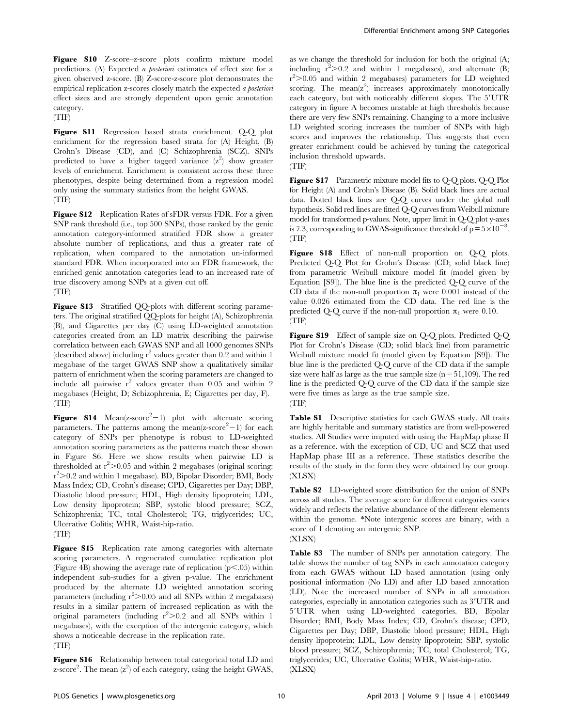Figure S10 Z-score–z-score plots confirm mixture model predictions. (A) Expected a posteriori estimates of effect size for a given observed z-score. (B) Z-score-z-score plot demonstrates the empirical replication z-scores closely match the expected a posteriori effect sizes and are strongly dependent upon genic annotation category.

(TIF)

Figure S11 Regression based strata enrichment. Q-Q plot enrichment for the regression based strata for (A) Height, (B) Crohn's Disease (CD), and (C) Schizophrenia (SCZ). SNPs predicted to have a higher tagged variance  $(z^2)$  show greater levels of enrichment. Enrichment is consistent across these three phenotypes, despite being determined from a regression model only using the summary statistics from the height GWAS. (TIF)

Figure S12 Replication Rates of sFDR versus FDR. For a given SNP rank threshold (i.e., top 500 SNPs), those ranked by the genic annotation category-informed stratified FDR show a greater absolute number of replications, and thus a greater rate of replication, when compared to the annotation un-informed standard FDR. When incorporated into an FDR framework, the enriched genic annotation categories lead to an increased rate of true discovery among SNPs at a given cut off.

## (TIF)

Figure S13 Stratified QQ-plots with different scoring parameters. The original stratified QQ-plots for height (A), Schizophrenia (B), and Cigarettes per day (C) using LD-weighted annotation categories created from an LD matrix describing the pairwise correlation between each GWAS SNP and all 1000 genomes SNPs (described above) including  $r^2$  values greater than 0.2 and within 1 megabase of the target GWAS SNP show a qualitatively similar pattern of enrichment when the scoring parameters are changed to include all pairwise  $r^2$  values greater than 0.05 and within 2 megabases (Height, D; Schizophrenia, E; Cigarettes per day, F). (TIF)

**Figure S14** Mean( $z$ -score<sup>2</sup> $-1$ ) plot with alternate scoring parameters. The patterns among the mean(z-score $<sup>2</sup>-1$ ) for each</sup> category of SNPs per phenotype is robust to LD-weighted annotation scoring parameters as the patterns match those shown in Figure S6. Here we show results when pairwise LD is thresholded at  $r^2$  > 0.05 and within 2 megabases (original scoring: r 2 .0.2 and within 1 megabase). BD, Bipolar Disorder; BMI, Body Mass Index; CD, Crohn's disease; CPD, Cigarettes per Day; DBP, Diastolic blood pressure; HDL, High density lipoprotein; LDL, Low density lipoprotein; SBP, systolic blood pressure; SCZ, Schizophrenia; TC, total Cholesterol; TG, triglycerides; UC, Ulcerative Colitis; WHR, Waist-hip-ratio. (TIF)

Figure S15 Replication rate among categories with alternate scoring parameters. A regenerated cumulative replication plot (Figure 4B) showing the average rate of replication  $(p<.05)$  within independent sub-studies for a given p-value. The enrichment produced by the alternate LD weighted annotation scoring parameters (including  $r^2$ >0.05 and all SNPs within 2 megabases) results in a similar pattern of increased replication as with the original parameters (including  $r^2 > 0.2$  and all SNPs within 1 megabases), with the exception of the intergenic category, which shows a noticeable decrease in the replication rate. (TIF)

Figure S16 Relationship between total categorical total LD and z-score<sup>2</sup>. The mean  $(z^2)$  of each category, using the height GWAS,

as we change the threshold for inclusion for both the original (A; including  $r^2 > 0.2$  and within 1 megabases), and alternate (B; r<sup>2</sup>>0.05 and within 2 megabases) parameters for LD weighted scoring. The  $mean(z^2)$  increases approximately monotonically each category, but with noticeably different slopes. The 5'UTR category in figure A becomes unstable at high thresholds because there are very few SNPs remaining. Changing to a more inclusive LD weighted scoring increases the number of SNPs with high scores and improves the relationship. This suggests that even greater enrichment could be achieved by tuning the categorical inclusion threshold upwards.

(TIF)

Figure S17 Parametric mixture model fits to Q-Q plots. Q-Q Plot for Height (A) and Crohn's Disease (B). Solid black lines are actual data. Dotted black lines are Q-Q curves under the global null hypothesis. Solid red lines are fitted Q-Q curves from Weibull mixture model for transformed p-values. Note, upper limit in Q-Q plot y-axes is 7.3, corresponding to GWAS-significance threshold of  $p = 5 \times 10^{-8}$ . (TIF)

Figure S18 Effect of non-null proportion on Q-Q plots. Predicted Q-Q Plot for Crohn's Disease (CD; solid black line) from parametric Weibull mixture model fit (model given by Equation [S9]). The blue line is the predicted Q-Q curve of the CD data if the non-null proportion  $\pi_1$  were 0.001 instead of the value 0.026 estimated from the CD data. The red line is the predicted Q-Q curve if the non-null proportion  $\pi_1$  were 0.10. (TIF)

Figure S19 Effect of sample size on Q-Q plots. Predicted Q-Q Plot for Crohn's Disease (CD; solid black line) from parametric Weibull mixture model fit (model given by Equation [S9]). The blue line is the predicted Q-Q curve of the CD data if the sample size were half as large as the true sample size  $(n = 51,109)$ . The red line is the predicted Q-Q curve of the CD data if the sample size were five times as large as the true sample size. (TIF)

Table S1 Descriptive statistics for each GWAS study. All traits are highly heritable and summary statistics are from well-powered studies. All Studies were imputed with using the HapMap phase II as a reference, with the exception of CD, UC and SCZ that used HapMap phase III as a reference. These statistics describe the results of the study in the form they were obtained by our group. (XLSX)

Table S2 LD-weighted score distribution for the union of SNPs across all studies. The average score for different categories varies widely and reflects the relative abundance of the different elements within the genome. \*Note intergenic scores are binary, with a score of 1 denoting an intergenic SNP. (XLSX)

Table S3 The number of SNPs per annotation category. The table shows the number of tag SNPs in each annotation category from each GWAS without LD based annotation (using only positional information (No LD) and after LD based annotation (LD). Note the increased number of SNPs in all annotation categories, especially in annotation categories such as 3'UTR and 5'UTR when using LD-weighted categories. BD, Bipolar Disorder; BMI, Body Mass Index; CD, Crohn's disease; CPD, Cigarettes per Day; DBP, Diastolic blood pressure; HDL, High density lipoprotein; LDL, Low density lipoprotein; SBP, systolic blood pressure; SCZ, Schizophrenia; TC, total Cholesterol; TG, triglycerides; UC, Ulcerative Colitis; WHR, Waist-hip-ratio. (XLSX)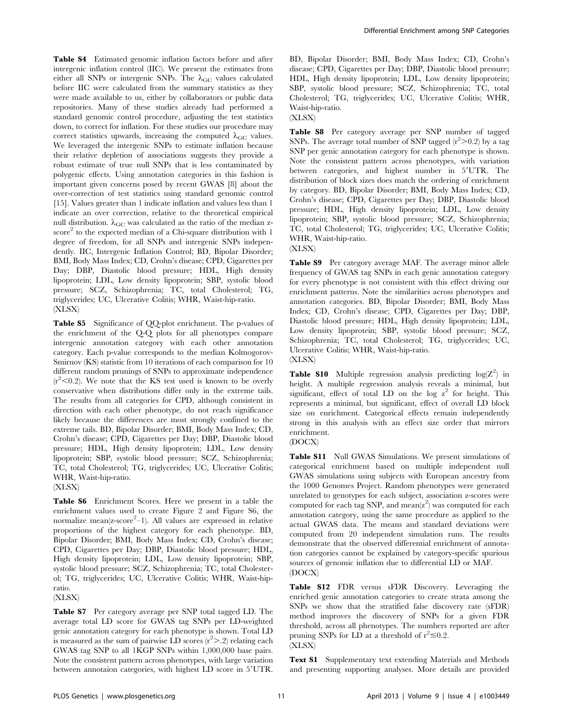Table S4 Estimated genomic inflation factors before and after intergenic inflation control (IIC). We present the estimates from either all SNPs or intergenic SNPs. The  $\lambda_{\rm GC}$  values calculated before IIC were calculated from the summary statistics as they were made available to us, either by collaborators or public data repositories. Many of these studies already had performed a standard genomic control procedure, adjusting the test statistics down, to correct for inflation. For these studies our procedure may correct statistics upwards, increasing the computed  $\lambda_{GC}$  values. We leveraged the intergenic SNPs to estimate inflation because their relative depletion of associations suggests they provide a robust estimate of true null SNPs that is less contaminated by polygenic effects. Using annotation categories in this fashion is important given concerns posed by recent GWAS [8] about the over-correction of test statistics using standard genomic control [15]. Values greater than 1 indicate inflation and values less than 1 indicate an over correction, relative to the theoretical empirical null distribution.  $\lambda_{\rm GC}$  was calculated as the ratio of the median zscore<sup>2</sup> to the expected median of a Chi-square distribution with 1 degree of freedom, for all SNPs and intergenic SNPs independently. IIC, Intergenic Inflation Control; BD, Bipolar Disorder; BMI, Body Mass Index; CD, Crohn's disease; CPD, Cigarettes per Day; DBP, Diastolic blood pressure; HDL, High density lipoprotein; LDL, Low density lipoprotein; SBP, systolic blood pressure; SCZ, Schizophrenia; TC, total Cholesterol; TG, triglycerides; UC, Ulcerative Colitis; WHR, Waist-hip-ratio. (XLSX)

Table S5 Significance of QQ-plot enrichment. The p-values of the enrichment of the Q-Q plots for all phenotypes compare intergenic annotation category with each other annotation category. Each p-value corresponds to the median Kolmogorov-Smirnov (KS) statistic from 10 iterations of each comparison for 10 different random prunings of SNPs to approximate independence  $(r<sup>2</sup><0.2)$ . We note that the KS test used is known to be overly conservative when distributions differ only in the extreme tails. The results from all categories for CPD, although consistent in direction with each other phenotype, do not reach significance likely because the differences are most strongly confined to the extreme tails. BD, Bipolar Disorder; BMI, Body Mass Index; CD, Crohn's disease; CPD, Cigarettes per Day; DBP, Diastolic blood pressure; HDL, High density lipoprotein; LDL, Low density lipoprotein; SBP, systolic blood pressure; SCZ, Schizophrenia; TC, total Cholesterol; TG, triglycerides; UC, Ulcerative Colitis; WHR, Waist-hip-ratio.

(XLSX)

Table S6 Enrichment Scores. Here we present in a table the enrichment values used to create Figure 2 and Figure S6, the normalize mean(z-score<sup>2</sup>-1). All values are expressed in relative proportions of the highest category for each phenotype. BD, Bipolar Disorder; BMI, Body Mass Index; CD, Crohn's disease; CPD, Cigarettes per Day; DBP, Diastolic blood pressure; HDL, High density lipoprotein; LDL, Low density lipoprotein; SBP, systolic blood pressure; SCZ, Schizophrenia; TC, total Cholesterol; TG, triglycerides; UC, Ulcerative Colitis; WHR, Waist-hipratio.

(XLSX)

Table S7 Per category average per SNP total tagged LD. The average total LD score for GWAS tag SNPs per LD-weighted genic annotation category for each phenotype is shown. Total LD is measured as the sum of pairwise LD scores  $(r^2>2)$  relating each GWAS tag SNP to all 1KGP SNPs within 1,000,000 base pairs. Note the consistent pattern across phenotypes, with large variation between annotaion categories, with highest LD score in 5'UTR.

BD, Bipolar Disorder; BMI, Body Mass Index; CD, Crohn's disease; CPD, Cigarettes per Day; DBP, Diastolic blood pressure; HDL, High density lipoprotein; LDL, Low density lipoprotein; SBP, systolic blood pressure; SCZ, Schizophrenia; TC, total Cholesterol; TG, triglycerides; UC, Ulcerative Colitis; WHR, Waist-hip-ratio.

(XLSX)

Table S8 Per category average per SNP number of tagged SNPs. The average total number of SNP tagged  $(r^2 > 0.2)$  by a tag SNP per genic annotation category for each phenotype is shown. Note the consistent pattern across phenotypes, with variation between categories, and highest number in 5'UTR. The distribution of block sizes does match the ordering of enrichment by category. BD, Bipolar Disorder; BMI, Body Mass Index; CD, Crohn's disease; CPD, Cigarettes per Day; DBP, Diastolic blood pressure; HDL, High density lipoprotein; LDL, Low density lipoprotein; SBP, systolic blood pressure; SCZ, Schizophrenia; TC, total Cholesterol; TG, triglycerides; UC, Ulcerative Colitis; WHR, Waist-hip-ratio.

(XLSX)

Table S9 Per category average MAF. The average minor allele frequency of GWAS tag SNPs in each genic annotation category for every phenotype is not consistent with this effect driving our enrichment patterns. Note the similarities across phenotypes and annotation categories. BD, Bipolar Disorder; BMI, Body Mass Index; CD, Crohn's disease; CPD, Cigarettes per Day; DBP, Diastolic blood pressure; HDL, High density lipoprotein; LDL, Low density lipoprotein; SBP, systolic blood pressure; SCZ, Schizophrenia; TC, total Cholesterol; TG, triglycerides; UC, Ulcerative Colitis; WHR, Waist-hip-ratio.

(XLSX)

Table S10 Multiple regression analysis predicting  $log(Z^2)$  in height. A multiple regression analysis reveals a minimal, but significant, effect of total LD on the log  $z^2$  for height. This represents a minimal, but significant, effect of overall LD block size on enrichment. Categorical effects remain independently strong in this analysis with an effect size order that mirrors enrichment.

(DOCX)

Table S11 Null GWAS Simulations. We present simulations of categorical enrichment based on multiple independent null GWAS simulations using subjects with European ancestry from the 1000 Genomes Project. Random phenotypes were generated unrelated to genotypes for each subject, association z-scores were computed for each tag SNP, and  $mean(z^2)$  was computed for each annotation category, using the same procedure as applied to the actual GWAS data. The means and standard deviations were computed from 20 independent simulation runs. The results demonstrate that the observed differential enrichment of annotation categories cannot be explained by category-specific spurious sources of genomic inflation due to differential LD or MAF. (DOCX)

Table S12 FDR versus sFDR Discovery. Leveraging the enriched genic annotation categories to create strata among the SNPs we show that the stratified false discovery rate (sFDR) method improves the discovery of SNPs for a given FDR threshold, across all phenotypes. The numbers reported are after pruning SNPs for LD at a threshold of  $r^2 \le 0.2$ . (XLSX)

Text S1 Supplementary text extending Materials and Methods and presenting supporting analyses. More details are provided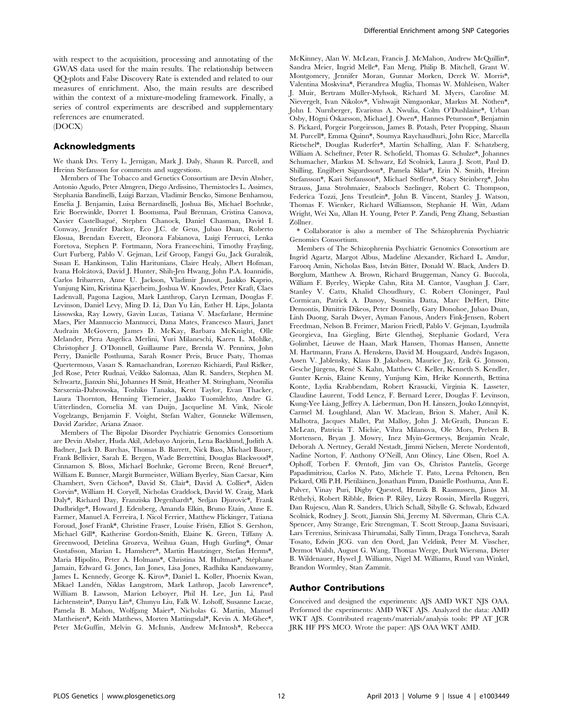with respect to the acquisition, processing and annotating of the GWAS data used for the main results. The relationship between QQ-plots and False Discovery Rate is extended and related to our measures of enrichment. Also, the main results are described within the context of a mixture-modeling framework. Finally, a series of control experiments are described and supplementary references are enumerated.

(DOCX)

## Acknowledgments

We thank Drs. Terry L. Jernigan, Mark J. Daly, Shaun R. Purcell, and Hreinn Stefansson for comments and suggestions.

Members of The Tobacco and Genetics Consortium are Devin Absher, Antonio Agudo, Peter Almgren, Diego Ardissino, Themistocles L. Assimes, Stephania Bandinelli, Luigi Barzan, Vladimir Bencko, Simone Benhamou, Emelia J. Benjamin, Luisa Bernardinelli, Joshua Bis, Michael Boehnke, Eric Boerwinkle, Dorret I. Boomsma, Paul Brennan, Cristina Canova, Xavier Castellsague´, Stephen Chanock, Daniel Chasman, David I. Conway, Jennifer Dackor, Eco J.C. de Geus, Jubao Duan, Roberto Elosua, Brendan Everett, Eleonora Fabianova, Luigi Ferrucci, Lenka Foretova, Stephen P. Fortmann, Nora Franceschini, Timothy Frayling, Curt Furberg, Pablo V. Gejman, Leif Groop, Fangyi Gu, Jack Guralnik, Susan E. Hankinson, Talin Haritunians, Claire Healy, Albert Hofman, Ivana Holcátová, David J. Hunter, Shih-Jen Hwang, John P.A. Ioannidis, Carlos Iribarren, Anne U. Jackson, Vladimir Janout, Jaakko Kaprio, Yunjung Kim, Kristina Kjaerheim, Joshua W. Knowles, Peter Kraft, Claes Ladenvall, Pagona Lagiou, Mark Lanthrop, Caryn Lerman, Douglas F. Levinson, Daniel Levy, Ming D. Li, Dan Yu Lin, Esther H. Lips, Jolanta Lissowska, Ray Lowry, Gavin Lucas, Tatiana V. Macfarlane, Hermine Maes, Pier Mannuccio Mannucci, Dana Mates, Francesco Mauri, Janet Audrain McGovern, James D. McKay, Barbara McKnight, Olle Melander, Piera Angelica Merlini, Yuri Milaneschi, Karen L. Mohlke, Christopher J. O'Donnell, Guillaume Pare, Brenda W. Penninx, John Perry, Danielle Posthuma, Sarah Rosner Preis, Bruce Psaty, Thomas Quertermous, Vasan S. Ramachandran, Lorenzo Richiardi, Paul Ridker, Jed Rose, Peter Rudnai, Veikko Salomaa, Alan R. Sanders, Stephen M. Schwartz, Jianxin Shi, Johannes H Smit, Heather M. Stringham, Neonilia Szeszenia-Dabrowska, Toshiko Tanaka, Kent Taylor, Evan Thacker, Laura Thornton, Henning Tiemeier, Jaakko Tuomilehto, Andre G. Uitterlinden, Cornelia M. van Duijn, Jacqueline M. Vink, Nicole Vogelzangs, Benjamin F. Voight, Stefan Walter, Gonneke Willemsen, David Zaridze, Ariana Znaor.

Members of The Bipolar Disorder Psychiatric Genomics Consortium are Devin Absher, Huda Akil, Adebayo Anjorin, Lena Backlund, Judith A. Badner, Jack D. Barchas, Thomas B. Barrett, Nick Bass, Michael Bauer, Frank Bellivier, Sarah E. Bergen, Wade Berrettini, Douglas Blackwood\*, Cinnamon S. Bloss, Michael Boehnke, Gerome Breen, René Breuer\*, William E. Bunner, Margit Burmeister, William Byerley, Sian Caesar, Kim Chambert, Sven Cichon\*, David St. Clair\*, David A. Collier\*, Aiden Corvin\*, William H. Coryell, Nicholas Craddock, David W. Craig, Mark Daly\*, Richard Day, Franziska Degenhardt\*, Srdjan Djurovic\*, Frank Dudbridge\*, Howard J. Edenberg, Amanda Elkin, Bruno Etain, Anne E. Farmer, Manuel A. Ferreira, I. Nicol Ferrier, Matthew Flickinger, Tatiana Foroud, Josef Frank\*, Christine Fraser, Louise Frisén, Elliot S. Gershon, Michael Gill\*, Katherine Gordon-Smith, Elaine K. Green, Tiffany A. Greenwood, Detelina Grozeva, Weihua Guan, Hugh Gurling\*, Ómar Gustafsson, Marian L. Hamshere\*, Martin Hautzinger, Stefan Herms\*, Maria Hipolito, Peter A. Holmans\*, Christina M. Hultman\*, Stéphane Jamain, Edward G. Jones, Ian Jones, Lisa Jones, Radhika Kandaswamy, James L. Kennedy, George K. Kirov\*, Daniel L. Koller, Phoenix Kwan, Mikael Landén, Niklas Langstrom, Mark Lathrop, Jacob Lawrence\*, William B. Lawson, Marion Leboyer, Phil H. Lee, Jun Li, Paul Lichtenstein\*, Danyu Lin\*, Chunyu Liu, Falk W. Lohoff, Susanne Lucae, Pamela B. Mahon, Wolfgang Maier\*, Nicholas G. Martin, Manuel Mattheisen\*, Keith Matthews, Morten Mattingsdal\*, Kevin A. McGhee\*, Peter McGuffin, Melvin G. McInnis, Andrew McIntosh\*, Rebecca McKinney, Alan W. McLean, Francis J. McMahon, Andrew McQuillin\*, Sandra Meier, Ingrid Melle\*, Fan Meng, Philip B. Mitchell, Grant W. Montgomery, Jennifer Moran, Gunnar Morken, Derek W. Morris\*, Valentina Moskvina\*, Pierandrea Muglia, Thomas W. Mühleisen, Walter J. Muir, Bertram Müller-Myhsok, Richard M. Myers, Caroline M. Nievergelt, Ivan Nikolov\*, Vishwajit Nimgaonkar, Markus M. Nöthen\*, John I. Nurnberger, Evaristus A. Nwulia, Colm O'Dushlaine\*, Urban Osby, Högni Óskarsson, Michael J. Owen\*, Hannes Petursson\*, Benjamin S. Pickard, Porgeir Porgeirsson, James B. Potash, Peter Propping, Shaun M. Purcell\*, Emma Quinn\*, Soumya Raychaudhuri, John Rice, Marcella Rietschel\*, Douglas Ruderfer\*, Martin Schalling, Alan F. Schatzberg, William A. Scheftner, Peter R. Schofield, Thomas G. Schulze\*, Johannes Schumacher, Markus M. Schwarz, Ed Scolnick, Laura J. Scott, Paul D. Shilling, Engilbert Sigurdsson\*, Pamela Sklar\*, Erin N. Smith, Hreinn Stefansson\*, Kari Stefansson\*, Michael Steffens\*, Stacy Steinberg\*, John Strauss, Jana Strohmaier, Szabocls Szelinger, Robert C. Thompson, Federica Tozzi, Jens Treutlein\*, John B. Vincent, Stanley J. Watson, Thomas F. Wienker, Richard Williamson, Stephanie H. Witt, Adam Wright, Wei Xu, Allan H. Young, Peter P. Zandi, Peng Zhang, Sebastian Zöllner.

\* Collaborator is also a member of The Schizophrenia Psychiatric Genomics Consortium.

Members of The Schizophrenia Psychiatric Genomics Consortium are Ingrid Agartz, Margot Albus, Madeline Alexander, Richard L. Amdur, Farooq Amin, Nicholas Bass, István Bitter, Donald W. Black, Anders D. Børglum, Matthew A. Brown, Richard Bruggeman, Nancy G. Buccola, William F. Byerley, Wiepke Cahn, Rita M. Cantor, Vaughan J. Carr, Stanley V. Catts, Khalid Choudhury, C. Robert Cloninger, Paul Cormican, Patrick A. Danoy, Susmita Datta, Marc DeHert, Ditte Demontis, Dimitris Dikeos, Peter Donnelly, Gary Donohoe, Jubao Duan, Linh Duong, Sarah Dwyer, Ayman Fanous, Anders Fink-Jensen, Robert Freedman, Nelson B. Freimer, Marion Friedl, Pablo V. Gejman, Lyudmila Georgieva, Ina Giegling, Birte Glenthøj, Stephanie Godard, Vera Golimbet, Lieuwe de Haan, Mark Hansen, Thomas Hansen, Annette M. Hartmann, Frans A. Henskens, David M. Hougaard, Andrés Ingason, Assen V. Jablensky, Klaus D. Jakobsen, Maurice Jay, Erik G. Jönsson, Gesche Jürgens, René S. Kahn, Matthew C. Keller, Kenneth S. Kendler, Gunter Kenis, Elaine Kenny, Yunjung Kim, Heike Konnerth, Bettina Konte, Lydia Krabbendam, Robert Krasucki, Virginia K. Lasseter, Claudine Laurent, Todd Lencz, F. Bernard Lerer, Douglas F. Levinson, Kung-Yee Liang, Jeffrey A. Lieberman, Don H. Linszen, Jouko Lönnqvist, Carmel M. Loughland, Alan W. Maclean, Brion S. Maher, Anil K. Malhotra, Jacques Mallet, Pat Malloy, John J. McGrath, Duncan E. McLean, Patricia T. Michie, Vihra Milanova, Ole Mors, Preben B. Mortensen, Bryan J. Mowry, Inez Myin-Germeys, Benjamin Neale, Deborah A. Nertney, Gerald Nestadt, Jimmi Nielsen, Merete Nordentoft, Nadine Norton, F. Anthony O'Neill, Ann Olincy, Line Olsen, Roel A. Ophoff, Torben F. Ørntoft, Jim van Os, Christos Pantelis, George Papadimitriou, Carlos N. Pato, Michele T. Pato, Leena Peltonen, Ben Pickard, Olli P.H. Pietiläinen, Jonathan Pimm, Danielle Posthuma, Ann E. Pulver, Vinay Puri, Digby Quested, Henrik B. Rasmussen, János M. Re´thelyi, Robert Ribble, Brien P. Riley, Lizzy Rossin, Mirella Ruggeri, Dan Rujescu, Alan R. Sanders, Ulrich Schall, Sibylle G. Schwab, Edward Scolnick, Rodney J. Scott, Jianxin Shi, Jeremy M. Silverman, Chris C.A. Spencer, Amy Strange, Eric Strengman, T. Scott Stroup, Jaana Suvisaari, Lars Terenius, Srinivasa Thirumalai, Sally Timm, Draga Toncheva, Sarah Tosato, Edwin JCG. van den Oord, Jan Veldink, Peter M. Visscher, Dermot Walsh, August G. Wang, Thomas Werge, Durk Wiersma, Dieter B. Wildenauer, Hywel J. Williams, Nigel M. Williams, Ruud van Winkel, Brandon Wormley, Stan Zammit.

#### Author Contributions

Conceived and designed the experiments: AJS AMD WKT NJS OAA. Performed the experiments: AMD WKT AJS. Analyzed the data: AMD WKT AJS. Contributed reagents/materials/analysis tools: PP AT JCR JRK HF PFS MCO. Wrote the paper: AJS OAA WKT AMD.